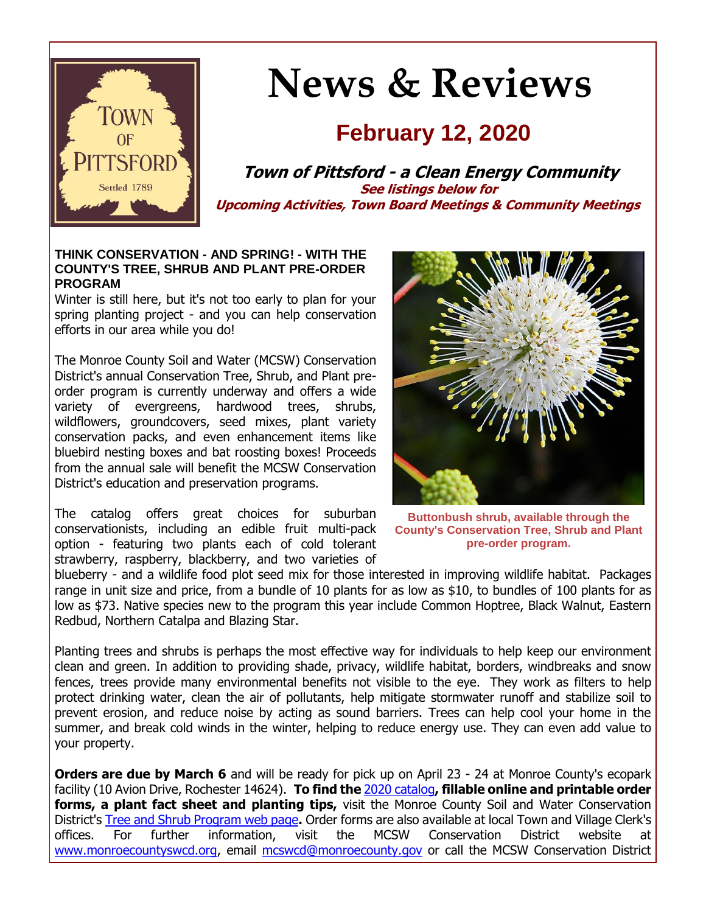

# **News & Reviews**

### **February 12, 2020**

**Town of Pittsford - a Clean Energy Community See listings below for Upcoming Activities, Town Board Meetings & Community Meetings**

#### **THINK CONSERVATION - AND SPRING! - WITH THE COUNTY'S TREE, SHRUB AND PLANT PRE-ORDER PROGRAM**

Winter is still here, but it's not too early to plan for your spring planting project - and you can help conservation efforts in our area while you do!

The Monroe County Soil and Water (MCSW) Conservation District's annual Conservation Tree, Shrub, and Plant preorder program is currently underway and offers a wide variety of evergreens, hardwood trees, shrubs, wildflowers, groundcovers, seed mixes, plant variety conservation packs, and even enhancement items like bluebird nesting boxes and bat roosting boxes! Proceeds from the annual sale will benefit the MCSW Conservation District's education and preservation programs.

The catalog offers great choices for suburban conservationists, including an edible fruit multi-pack option - featuring two plants each of cold tolerant strawberry, raspberry, blackberry, and two varieties of



**Buttonbush shrub, available through the County's Conservation Tree, Shrub and Plant pre-order program.**

blueberry - and a wildlife food plot seed mix for those interested in improving wildlife habitat. Packages range in unit size and price, from a bundle of 10 plants for as low as \$10, to bundles of 100 plants for as low as \$73. Native species new to the program this year include Common Hoptree, Black Walnut, Eastern Redbud, Northern Catalpa and Blazing Star.

Planting trees and shrubs is perhaps the most effective way for individuals to help keep our environment clean and green. In addition to providing shade, privacy, wildlife habitat, borders, windbreaks and snow fences, trees provide many environmental benefits not visible to the eye. They work as filters to help protect drinking water, clean the air of pollutants, help mitigate stormwater runoff and stabilize soil to prevent erosion, and reduce noise by acting as sound barriers. Trees can help cool your home in the summer, and break cold winds in the winter, helping to reduce energy use. They can even add value to your property.

**Orders are due by March 6** and will be ready for pick up on April 23 - 24 at Monroe County's ecopark facility (10 Avion Drive, Rochester 14624). **To find the** [2020 catalog](http://r20.rs6.net/tn.jsp?f=001Z875Z-xlJyTHNT9NS47IYP6iNlXIM5lQE7VHS_rKQf2mpFLdgj_SKiUM9wH54_ivDDwfXLTDpn9WJ7Jsue31F2l3Cz64ngDgdwdlsBCwZxzHnbM-6cVDQPJep85xkRuhN2cg_JsbGGulGBOWrvVud54PTIa8qzvzBqGySAlGlu6KoAmz63zkZNsiwxREAs9MTer-TbrmtxqamSRqu-oEtB9QdAXnaNrgiiNhMVCJEue8vIpUj97hbvQLeDjS4Gatsxka5VvQMG_BGfCfHUVoYTX9RbJjGzoXU0YWUoTjJ09G79EQY_aZw4oMQMpWFGwJaHLevIXAm4d8tOCNf1u6l6uRVw1HCD64sazh_czTNNI=&c=piFAXblsKB5NB4c65cFz_Cb9RpnuqYnENYTcsOgnIkiDBnUdTm1gqA==&ch=KbQHd0DHVZRS0URXFUxuHouN65VjXm_m5JZePKcTp-dWMw2nouCxAw==)**, fillable online and printable order forms, a plant fact sheet and planting tips,** visit the Monroe County Soil and Water Conservation District's [Tree and Shrub Program web page](http://r20.rs6.net/tn.jsp?f=001Z875Z-xlJyTHNT9NS47IYP6iNlXIM5lQE7VHS_rKQf2mpFLdgj_SKoAsbbiNAlUdgIKU4N0r_IXiAr6pAZg7A_YBE1GbIbVBHZuVH5Xa6KdK4e1YvCBkV-xB5h2ssug0BrjVmqQbwnYqLn0Eqr2FhdatOEauz2lmnC4bS2f4VKsvecQeHfrH49ckxnhOvrx48KiSGqRl2_JPUvUzjjPamCNU1b4gNNcVLlkLylxndEiO-WqFie4HTbeWeLXJoWr2pksSQ_e3vDp1i61pSjZevzFqJnDnma36Kb1h7j414OvmGjy5SIAzhYW-J7W1SrAy&c=piFAXblsKB5NB4c65cFz_Cb9RpnuqYnENYTcsOgnIkiDBnUdTm1gqA==&ch=KbQHd0DHVZRS0URXFUxuHouN65VjXm_m5JZePKcTp-dWMw2nouCxAw==)**.** Order forms are also available at local Town and Village Clerk's offices. For further information, visit the MCSW Conservation District website at [www.monroecountyswcd.org,](http://r20.rs6.net/tn.jsp?f=001Z875Z-xlJyTHNT9NS47IYP6iNlXIM5lQE7VHS_rKQf2mpFLdgj_SKijjc9uP4pocc5-ZyVqGjCEfLembkZON_ksRuIooUvhv4EvtUYgY_n7N1cAgiCOI6ZukyMRy9XAdOWdeDN7pAYcI6dXvEwDWXv6mqYbqPj-mcuDT2dLN_5P-hh8E33yqA33b4chGErst6_dJZUZd4HQbR1NgJIwSLevIDyr7z2kQPk8sBRrynFv6GQ0Xn4praMH3K2AWIlx_2VWD0xfRNyyuYwRBq6TjDK0jBbMRGOumPII7Q7BzJQM=&c=piFAXblsKB5NB4c65cFz_Cb9RpnuqYnENYTcsOgnIkiDBnUdTm1gqA==&ch=KbQHd0DHVZRS0URXFUxuHouN65VjXm_m5JZePKcTp-dWMw2nouCxAw==) email [mcswcd@monroecounty.gov](mailto:mcswcd@monroecounty.gov) or call the MCSW Conservation District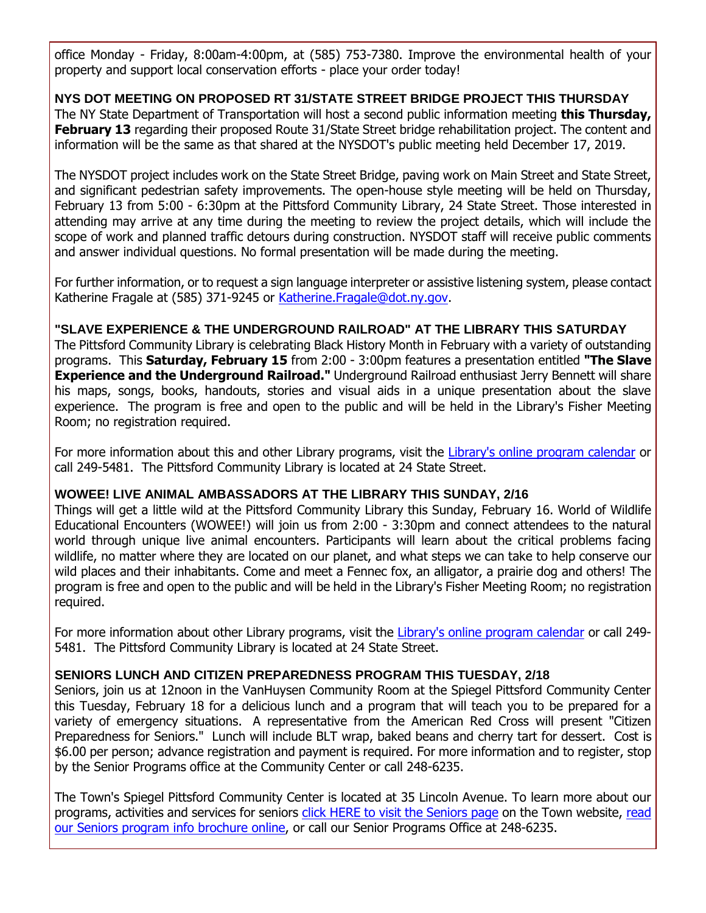office Monday - Friday, 8:00am-4:00pm, at (585) 753-7380. Improve the environmental health of your property and support local conservation efforts - place your order today!

**NYS DOT MEETING ON PROPOSED RT 31/STATE STREET BRIDGE PROJECT THIS THURSDAY** The NY State Department of Transportation will host a second public information meeting **this Thursday, February 13** regarding their proposed Route 31/State Street bridge rehabilitation project. The content and information will be the same as that shared at the NYSDOT's public meeting held December 17, 2019.

The NYSDOT project includes work on the State Street Bridge, paving work on Main Street and State Street, and significant pedestrian safety improvements. The open-house style meeting will be held on Thursday, February 13 from 5:00 - 6:30pm at the Pittsford Community Library, 24 State Street. Those interested in attending may arrive at any time during the meeting to review the project details, which will include the scope of work and planned traffic detours during construction. NYSDOT staff will receive public comments and answer individual questions. No formal presentation will be made during the meeting.

For further information, or to request a sign language interpreter or assistive listening system, please contact Katherine Fragale at (585) 371-9245 or Katherine. Fragale@dot.ny.gov.

#### **"SLAVE EXPERIENCE & THE UNDERGROUND RAILROAD" AT THE LIBRARY THIS SATURDAY**

The Pittsford Community Library is celebrating Black History Month in February with a variety of outstanding programs. This **Saturday, February 15** from 2:00 - 3:00pm features a presentation entitled **"The Slave Experience and the Underground Railroad."** Underground Railroad enthusiast Jerry Bennett will share his maps, songs, books, handouts, stories and visual aids in a unique presentation about the slave experience. The program is free and open to the public and will be held in the Library's Fisher Meeting Room; no registration required.

For more information about this and other Library programs, visit the [Library's online program calendar](http://r20.rs6.net/tn.jsp?f=001Z875Z-xlJyTHNT9NS47IYP6iNlXIM5lQE7VHS_rKQf2mpFLdgj_SKjqFME6Uz3p2Ym3a0ofDV-5wgNga4fJgJCZKoBS1yd7mCUlIxd8UzQjCdfK8qAvpaooEvDgt4c-OgtRWF12zwNwnQD9UyHcTUy-teOitoqY9OGNhPvLBST33CAA4er4opZqchxdPsG_rfz_bWfEgFqo3MmVIjQD61GT1pj0Plj1VwjkmW69Yci_JVhV5i7m3qowjbIAkFkQ3qR9cYG5-AmX7vKh5CVqv5_xhMtmWLDL2-NYlnM1x9a0W0MvSpwoq4Y2qBdHx7cSRRw6ANMIRNtv6BLmMtrL0Quf6-F7JqA7fqqh9qr4yeguUcuwrg7T9r5HLI_vQeaRW_dbOhaa36nY=&c=piFAXblsKB5NB4c65cFz_Cb9RpnuqYnENYTcsOgnIkiDBnUdTm1gqA==&ch=KbQHd0DHVZRS0URXFUxuHouN65VjXm_m5JZePKcTp-dWMw2nouCxAw==) or call 249-5481. The Pittsford Community Library is located at 24 State Street.

#### **WOWEE! LIVE ANIMAL AMBASSADORS AT THE LIBRARY THIS SUNDAY, 2/16**

Things will get a little wild at the Pittsford Community Library this Sunday, February 16. World of Wildlife Educational Encounters (WOWEE!) will join us from 2:00 - 3:30pm and connect attendees to the natural world through unique live animal encounters. Participants will learn about the critical problems facing wildlife, no matter where they are located on our planet, and what steps we can take to help conserve our wild places and their inhabitants. Come and meet a Fennec fox, an alligator, a prairie dog and others! The program is free and open to the public and will be held in the Library's Fisher Meeting Room; no registration required.

For more information about other Library programs, visit the [Library's online program calendar](http://r20.rs6.net/tn.jsp?f=001Z875Z-xlJyTHNT9NS47IYP6iNlXIM5lQE7VHS_rKQf2mpFLdgj_SKjqFME6Uz3p2Ym3a0ofDV-5wgNga4fJgJCZKoBS1yd7mCUlIxd8UzQjCdfK8qAvpaooEvDgt4c-OgtRWF12zwNwnQD9UyHcTUy-teOitoqY9OGNhPvLBST33CAA4er4opZqchxdPsG_rfz_bWfEgFqo3MmVIjQD61GT1pj0Plj1VwjkmW69Yci_JVhV5i7m3qowjbIAkFkQ3qR9cYG5-AmX7vKh5CVqv5_xhMtmWLDL2-NYlnM1x9a0W0MvSpwoq4Y2qBdHx7cSRRw6ANMIRNtv6BLmMtrL0Quf6-F7JqA7fqqh9qr4yeguUcuwrg7T9r5HLI_vQeaRW_dbOhaa36nY=&c=piFAXblsKB5NB4c65cFz_Cb9RpnuqYnENYTcsOgnIkiDBnUdTm1gqA==&ch=KbQHd0DHVZRS0URXFUxuHouN65VjXm_m5JZePKcTp-dWMw2nouCxAw==) or call 249- 5481. The Pittsford Community Library is located at 24 State Street.

#### **SENIORS LUNCH AND CITIZEN PREPAREDNESS PROGRAM THIS TUESDAY, 2/18**

Seniors, join us at 12noon in the VanHuysen Community Room at the Spiegel Pittsford Community Center this Tuesday, February 18 for a delicious lunch and a program that will teach you to be prepared for a variety of emergency situations. A representative from the American Red Cross will present "Citizen Preparedness for Seniors." Lunch will include BLT wrap, baked beans and cherry tart for dessert. Cost is \$6.00 per person; advance registration and payment is required. For more information and to register, stop by the Senior Programs office at the Community Center or call 248-6235.

The Town's Spiegel Pittsford Community Center is located at 35 Lincoln Avenue. To learn more about our programs, activities and services for seniors [click HERE to visit the Seniors page](http://www.townofpittsford.org/home-seniors?utm_source=eNews+2-12-20&utm_campaign=eNews+02-12-20&utm_medium=email) on the Town website, [read](http://r20.rs6.net/tn.jsp?f=001Z875Z-xlJyTHNT9NS47IYP6iNlXIM5lQE7VHS_rKQf2mpFLdgj_SKtA0vOz8eJgFxB-R19DnoW8OYaKReAZ3E4tEQTJMrSUsbYl-IVUWBUD1e8dOHNP9upZykO1C-chKAzDzT8mhRUvsFEqQW3EioR_i-dMaFQYBicVOi8Rjzer-KlieWWEUiG-I3LZGY_OsxEuh0O7ieBVgAGm_dlxpL2fWo43R4UhOnhoMxZYJjEqEX5sfzqKODW-j0pCS0UJHCa-KmxRwjww2_uU04t7QobbqzsQlE3i7JvH16e-7wvU5utsAAwKuah7W8SDrTBSPk8hDZn3TAtFM_4wsar86qPctbNakdsRWbiOaaflj8ZVbRY7zKbZKWQ==&c=piFAXblsKB5NB4c65cFz_Cb9RpnuqYnENYTcsOgnIkiDBnUdTm1gqA==&ch=KbQHd0DHVZRS0URXFUxuHouN65VjXm_m5JZePKcTp-dWMw2nouCxAw==)  [our Seniors program info brochure online,](http://r20.rs6.net/tn.jsp?f=001Z875Z-xlJyTHNT9NS47IYP6iNlXIM5lQE7VHS_rKQf2mpFLdgj_SKtA0vOz8eJgFxB-R19DnoW8OYaKReAZ3E4tEQTJMrSUsbYl-IVUWBUD1e8dOHNP9upZykO1C-chKAzDzT8mhRUvsFEqQW3EioR_i-dMaFQYBicVOi8Rjzer-KlieWWEUiG-I3LZGY_OsxEuh0O7ieBVgAGm_dlxpL2fWo43R4UhOnhoMxZYJjEqEX5sfzqKODW-j0pCS0UJHCa-KmxRwjww2_uU04t7QobbqzsQlE3i7JvH16e-7wvU5utsAAwKuah7W8SDrTBSPk8hDZn3TAtFM_4wsar86qPctbNakdsRWbiOaaflj8ZVbRY7zKbZKWQ==&c=piFAXblsKB5NB4c65cFz_Cb9RpnuqYnENYTcsOgnIkiDBnUdTm1gqA==&ch=KbQHd0DHVZRS0URXFUxuHouN65VjXm_m5JZePKcTp-dWMw2nouCxAw==) or call our Senior Programs Office at 248-6235.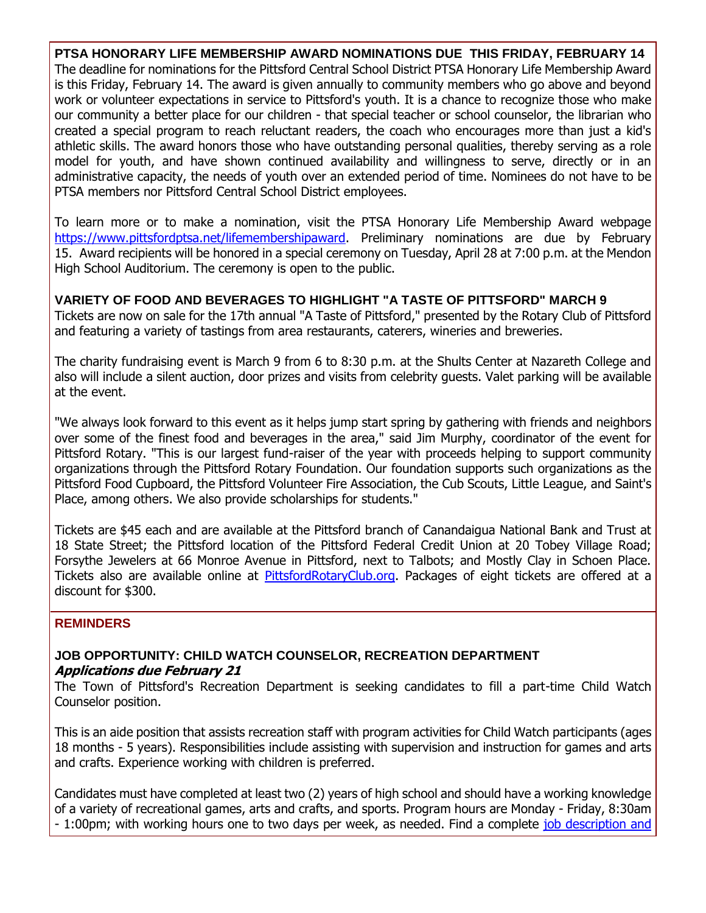**PTSA HONORARY LIFE MEMBERSHIP AWARD NOMINATIONS DUE THIS FRIDAY, FEBRUARY 14** The deadline for nominations for the Pittsford Central School District PTSA Honorary Life Membership Award is this Friday, February 14. The award is given annually to community members who go above and beyond work or volunteer expectations in service to Pittsford's youth. It is a chance to recognize those who make our community a better place for our children - that special teacher or school counselor, the librarian who created a special program to reach reluctant readers, the coach who encourages more than just a kid's athletic skills. The award honors those who have outstanding personal qualities, thereby serving as a role model for youth, and have shown continued availability and willingness to serve, directly or in an administrative capacity, the needs of youth over an extended period of time. Nominees do not have to be PTSA members nor Pittsford Central School District employees.

To learn more or to make a nomination, visit the PTSA Honorary Life Membership Award webpage [https://www.pittsfordptsa.net/lifemembershipaward.](http://r20.rs6.net/tn.jsp?f=001Z875Z-xlJyTHNT9NS47IYP6iNlXIM5lQE7VHS_rKQf2mpFLdgj_SKs6GSzBXvX25OssrfWg5pRKjHuFbhowOM8J02Agrd_vaut-N_C5iDefyceiCfCmsRYm4Qf0vQm7KCQikJTyc8Ys2Nd2QtQ8e1LHPqP8YOi6NSpRW7Y_CZ3zNVlUuOkq-xKRFKP4HgILxeodWc49cP2tNn8uhycUggltHWdY8BnvMv-v0OJy2V1geRJ1mXLQqWAvDNaLSfKbtV-_ghpiFeXJ9Trk6KgWyNjlkWoHVukh99CcWf_1Ph9dKyWSfmnXjJBm5akz-eDkv&c=piFAXblsKB5NB4c65cFz_Cb9RpnuqYnENYTcsOgnIkiDBnUdTm1gqA==&ch=KbQHd0DHVZRS0URXFUxuHouN65VjXm_m5JZePKcTp-dWMw2nouCxAw==) Preliminary nominations are due by February 15. Award recipients will be honored in a special ceremony on Tuesday, April 28 at 7:00 p.m. at the Mendon High School Auditorium. The ceremony is open to the public.

#### **VARIETY OF FOOD AND BEVERAGES TO HIGHLIGHT "A TASTE OF PITTSFORD" MARCH 9**

Tickets are now on sale for the 17th annual "A Taste of Pittsford," presented by the Rotary Club of Pittsford and featuring a variety of tastings from area restaurants, caterers, wineries and breweries.

The charity fundraising event is March 9 from 6 to 8:30 p.m. at the Shults Center at Nazareth College and also will include a silent auction, door prizes and visits from celebrity guests. Valet parking will be available at the event.

"We always look forward to this event as it helps jump start spring by gathering with friends and neighbors over some of the finest food and beverages in the area," said Jim Murphy, coordinator of the event for Pittsford Rotary. "This is our largest fund-raiser of the year with proceeds helping to support community organizations through the Pittsford Rotary Foundation. Our foundation supports such organizations as the Pittsford Food Cupboard, the Pittsford Volunteer Fire Association, the Cub Scouts, Little League, and Saint's Place, among others. We also provide scholarships for students."

Tickets are \$45 each and are available at the Pittsford branch of Canandaigua National Bank and Trust at 18 State Street; the Pittsford location of the Pittsford Federal Credit Union at 20 Tobey Village Road; Forsythe Jewelers at 66 Monroe Avenue in Pittsford, next to Talbots; and Mostly Clay in Schoen Place. Tickets also are available online at [PittsfordRotaryClub.org.](http://r20.rs6.net/tn.jsp?f=001Z875Z-xlJyTHNT9NS47IYP6iNlXIM5lQE7VHS_rKQf2mpFLdgj_SKvGOa7T2T9gqcgn_KwgGxmlvL76q5klHuZadLuS1khuGVJtnWxfF10yFIP8kiHf9nMnM69fq7YqCUjSiKg3_o32T24Z1jqJx4Sk4aNwMDS6pQcmTtvwRKPXdZv69tcd5k_hH3f82qyyKVvOanXA4udhUWwavTeHZ_wq3TmH6rCCTfslv6gAqQDRZfw3wxL2G2DXZ69KG0aUJMBEUk1l2YgpPhUWVTl__0ibA-VWLFNTcF8JnWAwOxeA=&c=piFAXblsKB5NB4c65cFz_Cb9RpnuqYnENYTcsOgnIkiDBnUdTm1gqA==&ch=KbQHd0DHVZRS0URXFUxuHouN65VjXm_m5JZePKcTp-dWMw2nouCxAw==) Packages of eight tickets are offered at a discount for \$300.

#### **REMINDERS**

#### **JOB OPPORTUNITY: CHILD WATCH COUNSELOR, RECREATION DEPARTMENT Applications due February 21**

The Town of Pittsford's Recreation Department is seeking candidates to fill a part-time Child Watch Counselor position.

This is an aide position that assists recreation staff with program activities for Child Watch participants (ages 18 months - 5 years). Responsibilities include assisting with supervision and instruction for games and arts and crafts. Experience working with children is preferred.

Candidates must have completed at least two (2) years of high school and should have a working knowledge of a variety of recreational games, arts and crafts, and sports. Program hours are Monday - Friday, 8:30am - 1:00pm; with working hours one to two days per week, as needed. Find a complete job description and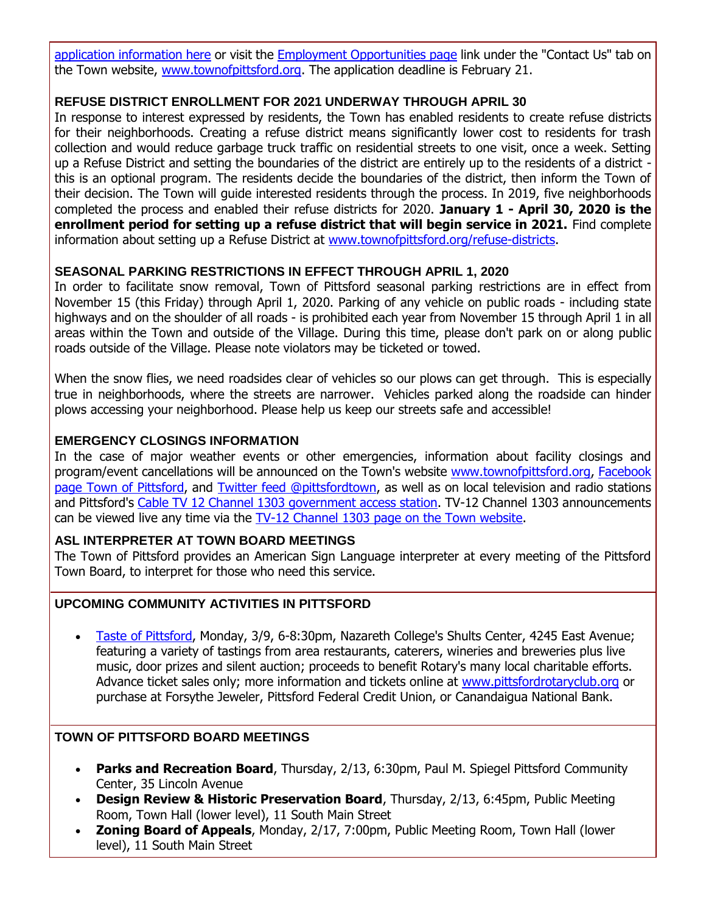[application information here](http://r20.rs6.net/tn.jsp?f=001Z875Z-xlJyTHNT9NS47IYP6iNlXIM5lQE7VHS_rKQf2mpFLdgj_SKiiBBZR8l3Id0BBdB8YlN9Py7ZQB2-N_4bgReUes_U4frohfFqvn4RTcf57YyxQnvMFBjg7P2eaymNZUmV5HMo7l95-PDttfdL9pI8GEECelD5ktHPuo5rqeYpThCSuQui-XFhBl6uh1y8stR78Aq7JLSDMxOGlq5SIjha8vaQgAH5MHwPWEdVB4ntrbqRM-l42av0Dp6v6UZq1pN0BO98XRc6BHVDLSRLpnNDrWY3gixyMw5wr4yzTscEPvhYRhfyPNEwspaobeArdXYAy4zvqAKmSbFGVn--PGe1N61mPUDw_dRNYGFLaON6Aieg6YctHpa14AYJKNjeSspaCDcvn4DJK9qhnmUtgBjDT7Cvr6&c=piFAXblsKB5NB4c65cFz_Cb9RpnuqYnENYTcsOgnIkiDBnUdTm1gqA==&ch=KbQHd0DHVZRS0URXFUxuHouN65VjXm_m5JZePKcTp-dWMw2nouCxAw==) or visit the [Employment Opportunities page](http://r20.rs6.net/tn.jsp?f=001Z875Z-xlJyTHNT9NS47IYP6iNlXIM5lQE7VHS_rKQf2mpFLdgj_SKrbz7TOQG3UpR7ceulJv_zpLClX_xzBRF5m5S2tyO2GQxl5QIkybezjmaM2qXXO_3e5FIYGv-vp08wJABbFXZlgHGVSQyd3_pPdwbzZTKyaU6i9O2Z0iFTxM5_SmL87EtJaUhKVNgroCN6B2Jm4yOgPbJMoYoJkUHHTgmlxsvkfRE9eVfQu9bAm1pFHBMtyfEw2jIn7xW5SZGjy_d9ijtIcw9njbGFir4xqO3XkWobmY-KBsaoq6KWOQjcZUYoNDmgx7JJGtOBRD29UrHP4NPLFVCGy-0Q-XQVLbJEquzPL0&c=piFAXblsKB5NB4c65cFz_Cb9RpnuqYnENYTcsOgnIkiDBnUdTm1gqA==&ch=KbQHd0DHVZRS0URXFUxuHouN65VjXm_m5JZePKcTp-dWMw2nouCxAw==) link under the "Contact Us" tab on the Town website, [www.townofpittsford.org.](http://r20.rs6.net/tn.jsp?f=001Z875Z-xlJyTHNT9NS47IYP6iNlXIM5lQE7VHS_rKQf2mpFLdgj_SKiaPQNjKPvEaQ37ujhmK9EUZXjs1B7LjGs3FXxdpmqZjv5WA6GjsuAptegZNDNrRnA8e3cxGllg0XKkQnmy0cn7lEDVCMPwsMOLyN8uM-yUz8aL9bOTmoH4lUPH2qB-LT4uj15_2-056Rq3vDrC5Uhs54PKvmi3Pnrh2UAmD5nrdhisQcsCbmhFveSl_d7pA7PfnD1uoiA8riZtjUV3n8LYYfcUDoE4LAwle651-Gm-nTexMtsS5Irk=&c=piFAXblsKB5NB4c65cFz_Cb9RpnuqYnENYTcsOgnIkiDBnUdTm1gqA==&ch=KbQHd0DHVZRS0URXFUxuHouN65VjXm_m5JZePKcTp-dWMw2nouCxAw==) The application deadline is February 21.

#### **REFUSE DISTRICT ENROLLMENT FOR 2021 UNDERWAY THROUGH APRIL 30**

In response to interest expressed by residents, the Town has enabled residents to create refuse districts for their neighborhoods. Creating a refuse district means significantly lower cost to residents for trash collection and would reduce garbage truck traffic on residential streets to one visit, once a week. Setting up a Refuse District and setting the boundaries of the district are entirely up to the residents of a district this is an optional program. The residents decide the boundaries of the district, then inform the Town of their decision. The Town will guide interested residents through the process. In 2019, five neighborhoods completed the process and enabled their refuse districts for 2020. **January 1 - April 30, 2020 is the enrollment period for setting up a refuse district that will begin service in 2021.** Find complete information about setting up a Refuse District at [www.townofpittsford.org/refuse-districts.](http://r20.rs6.net/tn.jsp?f=001Z875Z-xlJyTHNT9NS47IYP6iNlXIM5lQE7VHS_rKQf2mpFLdgj_SKp1b_ejrO34NFd7-GTTil_HE5D8a2SNharEbYNMKEsY55h6NfkinDIQdU9W-HZgbqRIESQ05N1pxV3K4lI-0nW3O9_tCD4LE17stMNjTEZ3XFt9QQeqGMnYinqk3qSpaRA_rhQDbNydRUtsYjVB6Dr-jYygWR2KgHx3NdiQVu68qdH0fC-X_BXzEnrkaKKsBZARK9vK7vil1P7jhNE6yg7h0Fi5_fksgGNYa4R3QayVofSP3kdJwjSI9EPRMGGJ-fzfRDZXopaYA&c=piFAXblsKB5NB4c65cFz_Cb9RpnuqYnENYTcsOgnIkiDBnUdTm1gqA==&ch=KbQHd0DHVZRS0URXFUxuHouN65VjXm_m5JZePKcTp-dWMw2nouCxAw==)

#### **SEASONAL PARKING RESTRICTIONS IN EFFECT THROUGH APRIL 1, 2020**

In order to facilitate snow removal, Town of Pittsford seasonal parking restrictions are in effect from November 15 (this Friday) through April 1, 2020. Parking of any vehicle on public roads - including state highways and on the shoulder of all roads - is prohibited each year from November 15 through April 1 in all areas within the Town and outside of the Village. During this time, please don't park on or along public roads outside of the Village. Please note violators may be ticketed or towed.

When the snow flies, we need roadsides clear of vehicles so our plows can get through. This is especially true in neighborhoods, where the streets are narrower. Vehicles parked along the roadside can hinder plows accessing your neighborhood. Please help us keep our streets safe and accessible!

#### **EMERGENCY CLOSINGS INFORMATION**

In the case of major weather events or other emergencies, information about facility closings and program/event cancellations will be announced on the Town's website [www.townofpittsford.org,](http://townofpittsford.org/?utm_source=eNews+2-12-20&utm_campaign=eNews+02-12-20&utm_medium=email) [Facebook](https://www.facebook.com/pages/Town-of-Pittsford/139082619464200)  [page Town of Pittsford,](https://www.facebook.com/pages/Town-of-Pittsford/139082619464200) and [Twitter feed @pittsfordtown,](http://r20.rs6.net/tn.jsp?f=001Z875Z-xlJyTHNT9NS47IYP6iNlXIM5lQE7VHS_rKQf2mpFLdgj_SKhuzD9Hu1dZ19jpJWtddwu5Pe3ZgAPQJ43RmQhSAdh_XFb-v8655ThGDVGHnu93VHoEeqhyWK1jYha61aYW2MTp3HynJ5v3Fdr79nqcXtC0v3-Bm0PHZ_mbZ3TPWVvEKkA==&c=piFAXblsKB5NB4c65cFz_Cb9RpnuqYnENYTcsOgnIkiDBnUdTm1gqA==&ch=KbQHd0DHVZRS0URXFUxuHouN65VjXm_m5JZePKcTp-dWMw2nouCxAw==) as well as on local television and radio stations and Pittsford's [Cable TV 12 Channel 1303 government access station.](http://townofpittsford.org/home-channel12?utm_source=eNews+2-12-20&utm_campaign=eNews+02-12-20&utm_medium=email) TV-12 Channel 1303 announcements can be viewed live any time via the [TV-12 Channel 1303 page on the Town website.](http://townofpittsford.org/home-channel12?utm_source=eNews+2-12-20&utm_campaign=eNews+02-12-20&utm_medium=email)

#### **ASL INTERPRETER AT TOWN BOARD MEETINGS**

The Town of Pittsford provides an American Sign Language interpreter at every meeting of the Pittsford Town Board, to interpret for those who need this service.

#### **UPCOMING COMMUNITY ACTIVITIES IN PITTSFORD**

 [Taste of Pittsford,](http://r20.rs6.net/tn.jsp?f=001Z875Z-xlJyTHNT9NS47IYP6iNlXIM5lQE7VHS_rKQf2mpFLdgj_SKln4lXRYLzjcpwzterK-pwWNrnGLVmLPH08j_Vs4H370Uxq3a1WChO0MWZN3FHGo7DMl5nbUzjWjq39AXf6zm6I9gG3NLwFP3GrTDnN-5B6w_Dd0SG0o0G_eiC-hUXnogRqP_oQkTfuDOpKnVa7cgd1q5ACplwEjHgFJnlbUN5bc_t8I6YNBZ9JESGuE3JP4WuaXEY_KRtOAiuBTkXJKoOLaXbHCBq3GLip7MZ_iT8aMQWWu7GBMGJ8=&c=piFAXblsKB5NB4c65cFz_Cb9RpnuqYnENYTcsOgnIkiDBnUdTm1gqA==&ch=KbQHd0DHVZRS0URXFUxuHouN65VjXm_m5JZePKcTp-dWMw2nouCxAw==) Monday, 3/9, 6-8:30pm, Nazareth College's Shults Center, 4245 East Avenue; featuring a variety of tastings from area restaurants, caterers, wineries and breweries plus live music, door prizes and silent auction; proceeds to benefit Rotary's many local charitable efforts. Advance ticket sales only; more information and tickets online at [www.pittsfordrotaryclub.org](http://r20.rs6.net/tn.jsp?f=001Z875Z-xlJyTHNT9NS47IYP6iNlXIM5lQE7VHS_rKQf2mpFLdgj_SKln4lXRYLzjcpwzterK-pwWNrnGLVmLPH08j_Vs4H370Uxq3a1WChO0MWZN3FHGo7DMl5nbUzjWjq39AXf6zm6I9gG3NLwFP3GrTDnN-5B6w_Dd0SG0o0G_eiC-hUXnogRqP_oQkTfuDOpKnVa7cgd1q5ACplwEjHgFJnlbUN5bc_t8I6YNBZ9JESGuE3JP4WuaXEY_KRtOAiuBTkXJKoOLaXbHCBq3GLip7MZ_iT8aMQWWu7GBMGJ8=&c=piFAXblsKB5NB4c65cFz_Cb9RpnuqYnENYTcsOgnIkiDBnUdTm1gqA==&ch=KbQHd0DHVZRS0URXFUxuHouN65VjXm_m5JZePKcTp-dWMw2nouCxAw==) or purchase at Forsythe Jeweler, Pittsford Federal Credit Union, or Canandaigua National Bank.

#### **TOWN OF PITTSFORD BOARD MEETINGS**

- **Parks and Recreation Board**, Thursday, 2/13, 6:30pm, Paul M. Spiegel Pittsford Community Center, 35 Lincoln Avenue
- **Design Review & Historic Preservation Board**, Thursday, 2/13, 6:45pm, Public Meeting Room, Town Hall (lower level), 11 South Main Street
- **Zoning Board of Appeals**, Monday, 2/17, 7:00pm, Public Meeting Room, Town Hall (lower level), 11 South Main Street